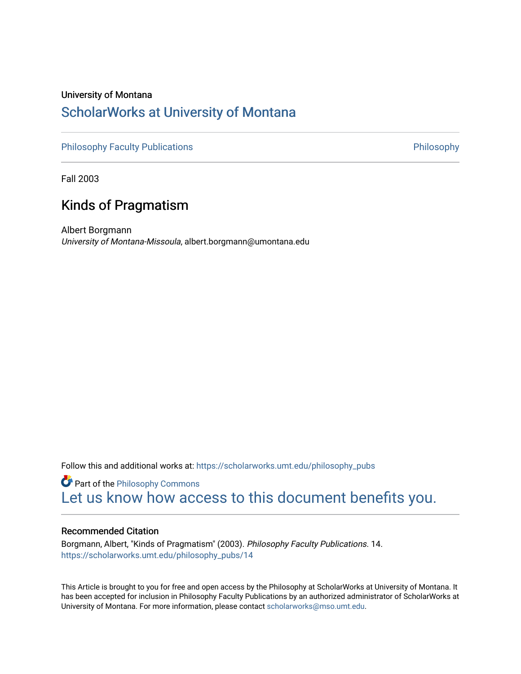## University of Montana

## [ScholarWorks at University of Montana](https://scholarworks.umt.edu/)

[Philosophy Faculty Publications](https://scholarworks.umt.edu/philosophy_pubs) **Philosophy** Philosophy

Fall 2003

## Kinds of Pragmatism

Albert Borgmann University of Montana-Missoula, albert.borgmann@umontana.edu

Follow this and additional works at: [https://scholarworks.umt.edu/philosophy\\_pubs](https://scholarworks.umt.edu/philosophy_pubs?utm_source=scholarworks.umt.edu%2Fphilosophy_pubs%2F14&utm_medium=PDF&utm_campaign=PDFCoverPages)

**Part of the Philosophy Commons** [Let us know how access to this document benefits you.](https://goo.gl/forms/s2rGfXOLzz71qgsB2) 

### Recommended Citation

Borgmann, Albert, "Kinds of Pragmatism" (2003). Philosophy Faculty Publications. 14. [https://scholarworks.umt.edu/philosophy\\_pubs/14](https://scholarworks.umt.edu/philosophy_pubs/14?utm_source=scholarworks.umt.edu%2Fphilosophy_pubs%2F14&utm_medium=PDF&utm_campaign=PDFCoverPages) 

This Article is brought to you for free and open access by the Philosophy at ScholarWorks at University of Montana. It has been accepted for inclusion in Philosophy Faculty Publications by an authorized administrator of ScholarWorks at University of Montana. For more information, please contact [scholarworks@mso.umt.edu.](mailto:scholarworks@mso.umt.edu)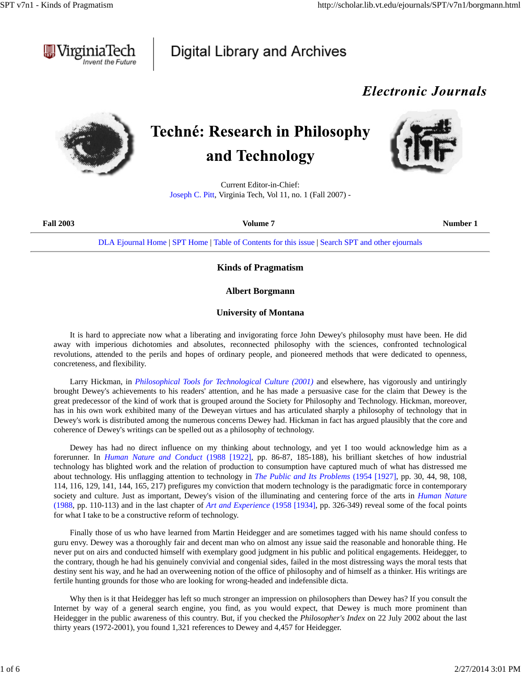

## Digital Library and Archives

## *Electronic Journals*



# **Techné: Research in Philosophy** and Technology



Current Editor-in-Chief: Joseph C. Pitt, Virginia Tech, Vol 11, no. 1 (Fall 2007) -

| <b>Fall 2003</b> | Volume 7                                                                                         | Number 1 |
|------------------|--------------------------------------------------------------------------------------------------|----------|
|                  | DLA Ejournal Home   SPT Home   Table of Contents for this issue   Search SPT and other ejournals |          |

### **Kinds of Pragmatism**

### **Albert Borgmann**

### **University of Montana**

It is hard to appreciate now what a liberating and invigorating force John Dewey's philosophy must have been. He did away with imperious dichotomies and absolutes, reconnected philosophy with the sciences, confronted technological revolutions, attended to the perils and hopes of ordinary people, and pioneered methods that were dedicated to openness, concreteness, and flexibility.

Larry Hickman, in *Philosophical Tools for Technological Culture (2001)* and elsewhere, has vigorously and untiringly brought Dewey's achievements to his readers' attention, and he has made a persuasive case for the claim that Dewey is the great predecessor of the kind of work that is grouped around the Society for Philosophy and Technology. Hickman, moreover, has in his own work exhibited many of the Deweyan virtues and has articulated sharply a philosophy of technology that in Dewey's work is distributed among the numerous concerns Dewey had. Hickman in fact has argued plausibly that the core and coherence of Dewey's writings can be spelled out as a philosophy of technology.

Dewey has had no direct influence on my thinking about technology, and yet I too would acknowledge him as a forerunner. In *Human Nature and Conduct* (1988 [1922], pp. 86-87, 185-188), his brilliant sketches of how industrial technology has blighted work and the relation of production to consumption have captured much of what has distressed me about technology. His unflagging attention to technology in *The Public and Its Problems* (1954 [1927], pp. 30, 44, 98, 108, 114, 116, 129, 141, 144, 165, 217) prefigures my conviction that modern technology is the paradigmatic force in contemporary society and culture. Just as important, Dewey's vision of the illuminating and centering force of the arts in *Human Nature* (1988, pp. 110-113) and in the last chapter of *Art and Experience* (1958 [1934], pp. 326-349) reveal some of the focal points for what I take to be a constructive reform of technology.

Finally those of us who have learned from Martin Heidegger and are sometimes tagged with his name should confess to guru envy. Dewey was a thoroughly fair and decent man who on almost any issue said the reasonable and honorable thing. He never put on airs and conducted himself with exemplary good judgment in his public and political engagements. Heidegger, to the contrary, though he had his genuinely convivial and congenial sides, failed in the most distressing ways the moral tests that destiny sent his way, and he had an overweening notion of the office of philosophy and of himself as a thinker. His writings are fertile hunting grounds for those who are looking for wrong-headed and indefensible dicta.

Why then is it that Heidegger has left so much stronger an impression on philosophers than Dewey has? If you consult the Internet by way of a general search engine, you find, as you would expect, that Dewey is much more prominent than Heidegger in the public awareness of this country. But, if you checked the *Philosopher's Index* on 22 July 2002 about the last thirty years (1972-2001), you found 1,321 references to Dewey and 4,457 for Heidegger.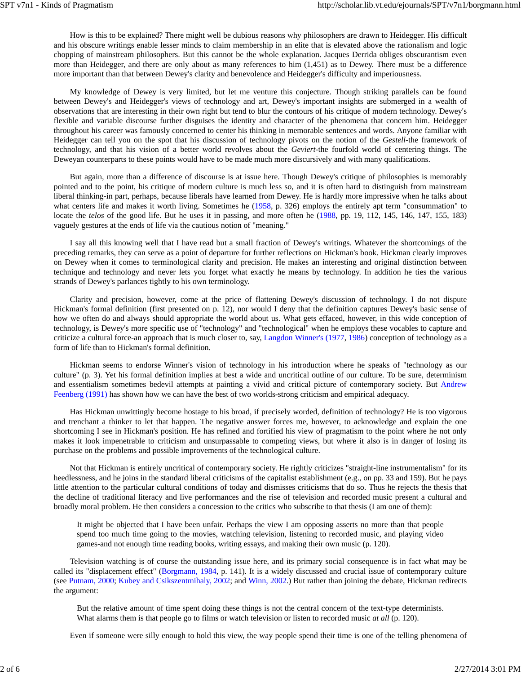How is this to be explained? There might well be dubious reasons why philosophers are drawn to Heidegger. His difficult and his obscure writings enable lesser minds to claim membership in an elite that is elevated above the rationalism and logic chopping of mainstream philosophers. But this cannot be the whole explanation. Jacques Derrida obliges obscurantism even more than Heidegger, and there are only about as many references to him (1,451) as to Dewey. There must be a difference more important than that between Dewey's clarity and benevolence and Heidegger's difficulty and imperiousness.

My knowledge of Dewey is very limited, but let me venture this conjecture. Though striking parallels can be found between Dewey's and Heidegger's views of technology and art, Dewey's important insights are submerged in a wealth of observations that are interesting in their own right but tend to blur the contours of his critique of modern technology. Dewey's flexible and variable discourse further disguises the identity and character of the phenomena that concern him. Heidegger throughout his career was famously concerned to center his thinking in memorable sentences and words. Anyone familiar with Heidegger can tell you on the spot that his discussion of technology pivots on the notion of the *Gestell*-the framework of technology, and that his vision of a better world revolves about the *Geviert*-the fourfold world of centering things. The Deweyan counterparts to these points would have to be made much more discursively and with many qualifications.

But again, more than a difference of discourse is at issue here. Though Dewey's critique of philosophies is memorably pointed and to the point, his critique of modern culture is much less so, and it is often hard to distinguish from mainstream liberal thinking-in part, perhaps, because liberals have learned from Dewey. He is hardly more impressive when he talks about what centers life and makes it worth living. Sometimes he (1958, p. 326) employs the entirely apt term "consummation" to locate the *telos* of the good life. But he uses it in passing, and more often he (1988, pp. 19, 112, 145, 146, 147, 155, 183) vaguely gestures at the ends of life via the cautious notion of "meaning."

I say all this knowing well that I have read but a small fraction of Dewey's writings. Whatever the shortcomings of the preceding remarks, they can serve as a point of departure for further reflections on Hickman's book. Hickman clearly improves on Dewey when it comes to terminological clarity and precision. He makes an interesting and original distinction between technique and technology and never lets you forget what exactly he means by technology. In addition he ties the various strands of Dewey's parlances tightly to his own terminology.

Clarity and precision, however, come at the price of flattening Dewey's discussion of technology. I do not dispute Hickman's formal definition (first presented on p. 12), nor would I deny that the definition captures Dewey's basic sense of how we often do and always should appropriate the world about us. What gets effaced, however, in this wide conception of technology, is Dewey's more specific use of "technology" and "technological" when he employs these vocables to capture and criticize a cultural force-an approach that is much closer to, say, Langdon Winner's (1977, 1986) conception of technology as a form of life than to Hickman's formal definition.

Hickman seems to endorse Winner's vision of technology in his introduction where he speaks of "technology as our culture" (p. 3). Yet his formal definition implies at best a wide and uncritical outline of our culture. To be sure, determinism and essentialism sometimes bedevil attempts at painting a vivid and critical picture of contemporary society. But Andrew Feenberg (1991) has shown how we can have the best of two worlds-strong criticism and empirical adequacy.

Has Hickman unwittingly become hostage to his broad, if precisely worded, definition of technology? He is too vigorous and trenchant a thinker to let that happen. The negative answer forces me, however, to acknowledge and explain the one shortcoming I see in Hickman's position. He has refined and fortified his view of pragmatism to the point where he not only makes it look impenetrable to criticism and unsurpassable to competing views, but where it also is in danger of losing its purchase on the problems and possible improvements of the technological culture.

Not that Hickman is entirely uncritical of contemporary society. He rightly criticizes "straight-line instrumentalism" for its heedlessness, and he joins in the standard liberal criticisms of the capitalist establishment (e.g., on pp. 33 and 159). But he pays little attention to the particular cultural conditions of today and dismisses criticisms that do so. Thus he rejects the thesis that the decline of traditional literacy and live performances and the rise of television and recorded music present a cultural and broadly moral problem. He then considers a concession to the critics who subscribe to that thesis (I am one of them):

It might be objected that I have been unfair. Perhaps the view I am opposing asserts no more than that people spend too much time going to the movies, watching television, listening to recorded music, and playing video games-and not enough time reading books, writing essays, and making their own music (p. 120).

Television watching is of course the outstanding issue here, and its primary social consequence is in fact what may be called its "displacement effect" (Borgmann, 1984, p. 141). It is a widely discussed and crucial issue of contemporary culture (see Putnam, 2000; Kubey and Csikszentmihaly, 2002; and Winn, 2002.) But rather than joining the debate, Hickman redirects the argument:

But the relative amount of time spent doing these things is not the central concern of the text-type determinists. What alarms them is that people go to films or watch television or listen to recorded music *at all* (p. 120).

Even if someone were silly enough to hold this view, the way people spend their time is one of the telling phenomena of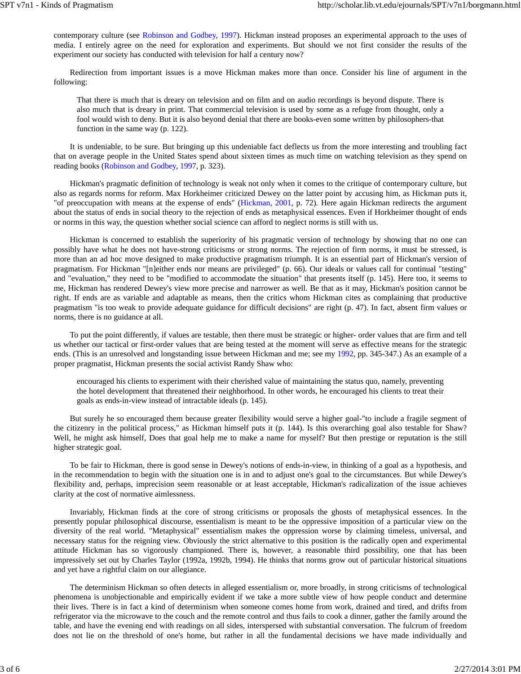contemporary culture (see Robinson and Godbey, 1997). Hickman instead proposes an experimental approach to the uses of media. I entirely agree on the need for exploration and experiments. But should we not first consider the results of the experiment our society has conducted with television for half a century now?

Redirection from important issues is a move Hickman makes more than once. Consider his line of argument in the following:

That there is much that is dreary on television and on film and on audio recordings is beyond dispute. There is also much that is dreary in print. That commercial television is used by some as a refuge from thought, only a fool would wish to deny. But it is also beyond denial that there are books-even some written by philosophers-that function in the same way (p. 122).

It is undeniable, to be sure. But bringing up this undeniable fact deflects us from the more interesting and troubling fact that on average people in the United States spend about sixteen times as much time on watching television as they spend on reading books (Robinson and Godbey, 1997, p. 323).

Hickman's pragmatic definition of technology is weak not only when it comes to the critique of contemporary culture, but also as regards norms for reform. Max Horkheimer criticized Dewey on the latter point by accusing him, as Hickman puts it, "of preoccupation with means at the expense of ends" (Hickman, 2001, p. 72). Here again Hickman redirects the argument about the status of ends in social theory to the rejection of ends as metaphysical essences. Even if Horkheimer thought of ends or norms in this way, the question whether social science can afford to neglect norms is still with us.

Hickman is concerned to establish the superiority of his pragmatic version of technology by showing that no one can possibly have what he does not have-strong criticisms or strong norms. The rejection of firm norms, it must be stressed, is more than an ad hoc move designed to make productive pragmatism triumph. It is an essential part of Hickman's version of pragmatism. For Hickman "[n]either ends nor means are privileged" (p. 66). Our ideals or values call for continual "testing" and "evaluation," they need to be "modified to accommodate the situation" that presents itself (p. 145). Here too, it seems to me, Hickman has rendered Dewey's view more precise and narrower as well. Be that as it may, Hickman's position cannot be right. If ends are as variable and adaptable as means, then the critics whom Hickman cites as complaining that productive pragmatism "is too weak to provide adequate guidance for difficult decisions" are right (p. 47). In fact, absent firm values or norms, there is no guidance at all.

To put the point differently, if values are testable, then there must be strategic or higher- order values that are firm and tell us whether our tactical or first-order values that are being tested at the moment will serve as effective means for the strategic ends. (This is an unresolved and longstanding issue between Hickman and me; see my 1992, pp. 345-347.) As an example of a proper pragmatist, Hickman presents the social activist Randy Shaw who:

encouraged his clients to experiment with their cherished value of maintaining the status quo, namely, preventing the hotel development that threatened their neighborhood. In other words, he encouraged his clients to treat their goals as ends-in-view instead of intractable ideals (p. 145).

But surely he so encouraged them because greater flexibility would serve a higher goal-"to include a fragile segment of the citizenry in the political process," as Hickman himself puts it (p. 144). Is this overarching goal also testable for Shaw? Well, he might ask himself, Does that goal help me to make a name for myself? But then prestige or reputation is the still higher strategic goal.

To be fair to Hickman, there is good sense in Dewey's notions of ends-in-view, in thinking of a goal as a hypothesis, and in the recommendation to begin with the situation one is in and to adjust one's goal to the circumstances. But while Dewey's flexibility and, perhaps, imprecision seem reasonable or at least acceptable, Hickman's radicalization of the issue achieves clarity at the cost of normative aimlessness.

Invariably, Hickman finds at the core of strong criticisms or proposals the ghosts of metaphysical essences. In the presently popular philosophical discourse, essentialism is meant to be the oppressive imposition of a particular view on the diversity of the real world. "Metaphysical" essentialism makes the oppression worse by claiming timeless, universal, and necessary status for the reigning view. Obviously the strict alternative to this position is the radically open and experimental attitude Hickman has so vigorously championed. There is, however, a reasonable third possibility, one that has been impressively set out by Charles Taylor (1992a, 1992b, 1994). He thinks that norms grow out of particular historical situations and yet have a rightful claim on our allegiance.

The determinism Hickman so often detects in alleged essentialism or, more broadly, in strong criticisms of technological phenomena is unobjectionable and empirically evident if we take a more subtle view of how people conduct and determine their lives. There is in fact a kind of determinism when someone comes home from work, drained and tired, and drifts from refrigerator via the microwave to the couch and the remote control and thus fails to cook a dinner, gather the family around the table, and have the evening end with readings on all sides, interspersed with substantial conversation. The fulcrum of freedom does not lie on the threshold of one's home, but rather in all the fundamental decisions we have made individually and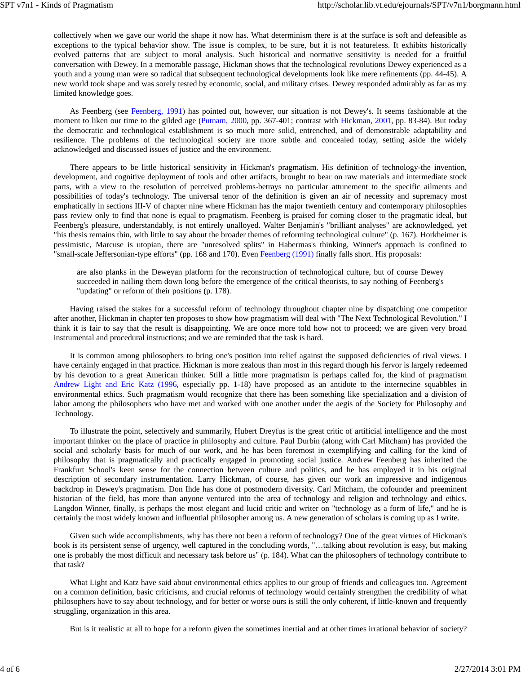collectively when we gave our world the shape it now has. What determinism there is at the surface is soft and defeasible as exceptions to the typical behavior show. The issue is complex, to be sure, but it is not featureless. It exhibits historically evolved patterns that are subject to moral analysis. Such historical and normative sensitivity is needed for a fruitful conversation with Dewey. In a memorable passage, Hickman shows that the technological revolutions Dewey experienced as a youth and a young man were so radical that subsequent technological developments look like mere refinements (pp. 44-45). A new world took shape and was sorely tested by economic, social, and military crises. Dewey responded admirably as far as my limited knowledge goes.

As Feenberg (see Feenberg, 1991) has pointed out, however, our situation is not Dewey's. It seems fashionable at the moment to liken our time to the gilded age (Putnam, 2000, pp. 367-401; contrast with Hickman, 2001, pp. 83-84). But today the democratic and technological establishment is so much more solid, entrenched, and of demonstrable adaptability and resilience. The problems of the technological society are more subtle and concealed today, setting aside the widely acknowledged and discussed issues of justice and the environment.

There appears to be little historical sensitivity in Hickman's pragmatism. His definition of technology-the invention, development, and cognitive deployment of tools and other artifacts, brought to bear on raw materials and intermediate stock parts, with a view to the resolution of perceived problems-betrays no particular attunement to the specific ailments and possibilities of today's technology. The universal tenor of the definition is given an air of necessity and supremacy most emphatically in sections III-V of chapter nine where Hickman has the major twentieth century and contemporary philosophies pass review only to find that none is equal to pragmatism. Feenberg is praised for coming closer to the pragmatic ideal, but Feenberg's pleasure, understandably, is not entirely unalloyed. Walter Benjamin's "brilliant analyses" are acknowledged, yet "his thesis remains thin, with little to say about the broader themes of reforming technological culture" (p. 167). Horkheimer is pessimistic, Marcuse is utopian, there are "unresolved splits" in Habermas's thinking, Winner's approach is confined to "small-scale Jeffersonian-type efforts" (pp. 168 and 170). Even Feenberg (1991) finally falls short. His proposals:

are also planks in the Deweyan platform for the reconstruction of technological culture, but of course Dewey succeeded in nailing them down long before the emergence of the critical theorists, to say nothing of Feenberg's "updating" or reform of their positions (p. 178).

Having raised the stakes for a successful reform of technology throughout chapter nine by dispatching one competitor after another, Hickman in chapter ten proposes to show how pragmatism will deal with "The Next Technological Revolution." I think it is fair to say that the result is disappointing. We are once more told how not to proceed; we are given very broad instrumental and procedural instructions; and we are reminded that the task is hard.

It is common among philosophers to bring one's position into relief against the supposed deficiencies of rival views. I have certainly engaged in that practice. Hickman is more zealous than most in this regard though his fervor is largely redeemed by his devotion to a great American thinker. Still a little more pragmatism is perhaps called for, the kind of pragmatism Andrew Light and Eric Katz (1996, especially pp. 1-18) have proposed as an antidote to the internecine squabbles in environmental ethics. Such pragmatism would recognize that there has been something like specialization and a division of labor among the philosophers who have met and worked with one another under the aegis of the Society for Philosophy and Technology.

To illustrate the point, selectively and summarily, Hubert Dreyfus is the great critic of artificial intelligence and the most important thinker on the place of practice in philosophy and culture. Paul Durbin (along with Carl Mitcham) has provided the social and scholarly basis for much of our work, and he has been foremost in exemplifying and calling for the kind of philosophy that is pragmatically and practically engaged in promoting social justice. Andrew Feenberg has inherited the Frankfurt School's keen sense for the connection between culture and politics, and he has employed it in his original description of secondary instrumentation. Larry Hickman, of course, has given our work an impressive and indigenous backdrop in Dewey's pragmatism. Don Ihde has done of postmodern diversity. Carl Mitcham, the cofounder and preeminent historian of the field, has more than anyone ventured into the area of technology and religion and technology and ethics. Langdon Winner, finally, is perhaps the most elegant and lucid critic and writer on "technology as a form of life," and he is certainly the most widely known and influential philosopher among us. A new generation of scholars is coming up as I write.

Given such wide accomplishments, why has there not been a reform of technology? One of the great virtues of Hickman's book is its persistent sense of urgency, well captured in the concluding words, "…talking about revolution is easy, but making one is probably the most difficult and necessary task before us" (p. 184). What can the philosophers of technology contribute to that task?

What Light and Katz have said about environmental ethics applies to our group of friends and colleagues too. Agreement on a common definition, basic criticisms, and crucial reforms of technology would certainly strengthen the credibility of what philosophers have to say about technology, and for better or worse ours is still the only coherent, if little-known and frequently struggling, organization in this area.

But is it realistic at all to hope for a reform given the sometimes inertial and at other times irrational behavior of society?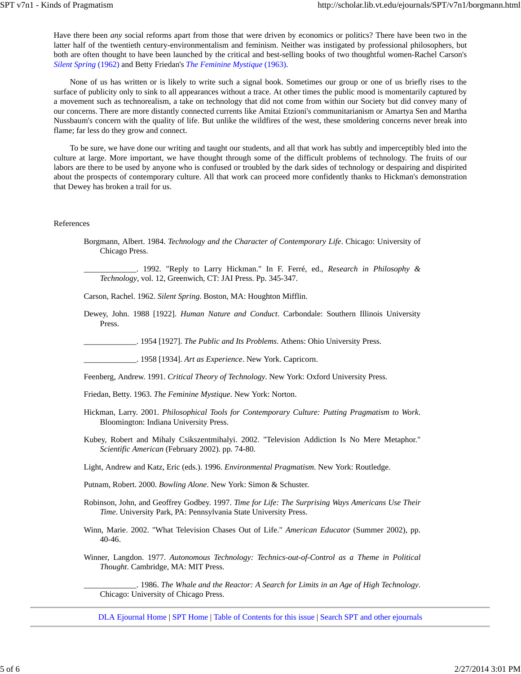Have there been *any* social reforms apart from those that were driven by economics or politics? There have been two in the latter half of the twentieth century-environmentalism and feminism. Neither was instigated by professional philosophers, but both are often thought to have been launched by the critical and best-selling books of two thoughtful women-Rachel Carson's *Silent Spring* (1962) and Betty Friedan's *The Feminine Mystique* (1963).

None of us has written or is likely to write such a signal book. Sometimes our group or one of us briefly rises to the surface of publicity only to sink to all appearances without a trace. At other times the public mood is momentarily captured by a movement such as technorealism, a take on technology that did not come from within our Society but did convey many of our concerns. There are more distantly connected currents like Amitai Etzioni's communitarianism or Amartya Sen and Martha Nussbaum's concern with the quality of life. But unlike the wildfires of the west, these smoldering concerns never break into flame; far less do they grow and connect.

To be sure, we have done our writing and taught our students, and all that work has subtly and imperceptibly bled into the culture at large. More important, we have thought through some of the difficult problems of technology. The fruits of our labors are there to be used by anyone who is confused or troubled by the dark sides of technology or despairing and dispirited about the prospects of contemporary culture. All that work can proceed more confidently thanks to Hickman's demonstration that Dewey has broken a trail for us.

#### References

Borgmann, Albert. 1984. *Technology and the Character of Contemporary Life*. Chicago: University of Chicago Press.

\_\_\_\_\_\_\_\_\_\_\_\_\_. 1992. "Reply to Larry Hickman." In F. Ferré, ed., *Research in Philosophy & Technology*, vol. 12, Greenwich, CT: JAI Press. Pp. 345-347.

Carson, Rachel. 1962. *Silent Spring*. Boston, MA: Houghton Mifflin.

Dewey, John. 1988 [1922]. *Human Nature and Conduct*. Carbondale: Southern Illinois University Press.

\_\_\_\_\_\_\_\_\_\_\_\_\_. 1954 [1927]. *The Public and Its Problems*. Athens: Ohio University Press.

\_\_\_\_\_\_\_\_\_\_\_\_\_. 1958 [1934]. *Art as Experience*. New York. Capricorn.

Feenberg, Andrew. 1991. *Critical Theory of Technology*. New York: Oxford University Press.

- Friedan, Betty. 1963. *The Feminine Mystique*. New York: Norton.
- Hickman, Larry. 2001. *Philosophical Tools for Contemporary Culture: Putting Pragmatism to Work*. Bloomington: Indiana University Press.
- Kubey, Robert and Mihaly Csikszentmihalyi. 2002. "Television Addiction Is No Mere Metaphor." *Scientific American* (February 2002). pp. 74-80.

Light, Andrew and Katz, Eric (eds.). 1996. *Environmental Pragmatism*. New York: Routledge.

Putnam, Robert. 2000. *Bowling Alone*. New York: Simon & Schuster.

- Robinson, John, and Geoffrey Godbey. 1997. *Time for Life: The Surprising Ways Americans Use Their Time*. University Park, PA: Pennsylvania State University Press.
- Winn, Marie. 2002. "What Television Chases Out of Life." *American Educator* (Summer 2002), pp. 40-46.
- Winner, Langdon. 1977. *Autonomous Technology: Technics-out-of-Control as a Theme in Political Thought*. Cambridge, MA: MIT Press.

\_\_\_\_\_\_\_\_\_\_\_\_\_. 1986. *The Whale and the Reactor: A Search for Limits in an Age of High Technology*. Chicago: University of Chicago Press.

DLA Ejournal Home | SPT Home | Table of Contents for this issue | Search SPT and other ejournals